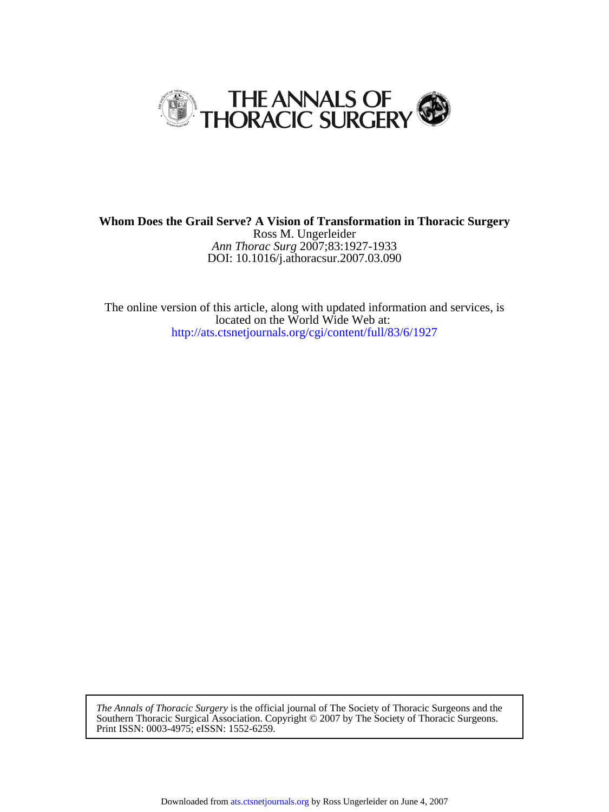

DOI: 10.1016/j.athoracsur.2007.03.090 *Ann Thorac Surg* 2007;83:1927-1933 Ross M. Ungerleider **Whom Does the Grail Serve? A Vision of Transformation in Thoracic Surgery**

<http://ats.ctsnetjournals.org/cgi/content/full/83/6/1927> located on the World Wide Web at: The online version of this article, along with updated information and services, is

Print ISSN: 0003-4975; eISSN: 1552-6259. Southern Thoracic Surgical Association. Copyright © 2007 by The Society of Thoracic Surgeons. *The Annals of Thoracic Surgery* is the official journal of The Society of Thoracic Surgeons and the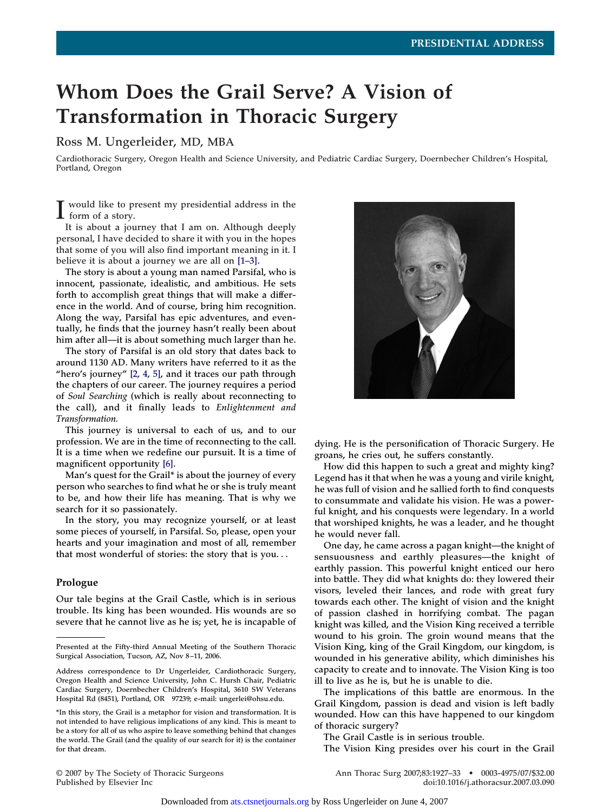# **Whom Does the Grail Serve? A Vision of Transformation in Thoracic Surgery**

## **Ross M. Ungerleider, MD, MBA**

**Cardiothoracic Surgery, Oregon Health and Science University, and Pediatric Cardiac Surgery, Doernbecher Children's Hospital, Portland, Oregon**

**I would like to present my presidential address in the f** form of a story.

**It is about a journey that I am on. Although deeply personal, I have decided to share it with you in the hopes that some of you will also find important meaning in it. I believe it is about a journey we are all on [\[1–3\].](#page-7-0)**

**The story is about a young man named Parsifal, who is innocent, passionate, idealistic, and ambitious. He sets forth to accomplish great things that will make a difference in the world. And of course, bring him recognition. Along the way, Parsifal has epic adventures, and eventually, he finds that the journey hasn't really been about him after all—it is about something much larger than he.**

**The story of Parsifal is an old story that dates back to around 1130 AD. Many writers have referred to it as the "hero's journey" [\[2, 4, 5\],](#page-7-0) and it traces our path through the chapters of our career. The journey requires a period of** *Soul Searching* **(which is really about reconnecting to the call), and it finally leads to** *Enlightenment and Transformation.*

**This journey is universal to each of us, and to our profession. We are in the time of reconnecting to the call. It is a time when we redefine our pursuit. It is a time of magnificent opportunity [\[6\].](#page-7-0)**

**Man's quest for the Grail\* is about the journey of every person who searches to find what he or she is truly meant to be, and how their life has meaning. That is why we search for it so passionately.**

**In the story, you may recognize yourself, or at least some pieces of yourself, in Parsifal. So, please, open your hearts and your imagination and most of all, remember that most wonderful of stories: the story that is you. . .**

#### **Prologue**

**Our tale begins at the Grail Castle, which is in serious trouble. Its king has been wounded. His wounds are so severe that he cannot live as he is; yet, he is incapable of**

**© 2007 by The Society of Thoracic Surgeons Ann Thorac Surg 2007;83:1927–33 • 0003-4975/07/\$32.00**

**dying. He is the personification of Thoracic Surgery. He groans, he cries out, he suffers constantly.**

**How did this happen to such a great and mighty king? Legend has it that when he was a young and virile knight, he was full of vision and he sallied forth to find conquests to consummate and validate his vision. He was a powerful knight, and his conquests were legendary. In a world that worshiped knights, he was a leader, and he thought he would never fall.**

**One day, he came across a pagan knight—the knight of sensuousness and earthly pleasures—the knight of earthly passion. This powerful knight enticed our hero into battle. They did what knights do: they lowered their visors, leveled their lances, and rode with great fury towards each other. The knight of vision and the knight of passion clashed in horrifying combat. The pagan knight was killed, and the Vision King received a terrible wound to his groin. The groin wound means that the Vision King, king of the Grail Kingdom, our kingdom, is wounded in his generative ability, which diminishes his capacity to create and to innovate. The Vision King is too ill to live as he is, but he is unable to die.**

**The implications of this battle are enormous. In the Grail Kingdom, passion is dead and vision is left badly wounded. How can this have happened to our kingdom of thoracic surgery?**

**The Grail Castle is in serious trouble.**

**The Vision King presides over his court in the Grail**



**Published by Elsevier Inc doi:10.1016/j.athoracsur.2007.03.090**

**Presented at the Fifty-third Annual Meeting of the Southern Thoracic Surgical Association, Tucson, AZ, Nov 8–11, 2006.**

**Address correspondence to Dr Ungerleider, Cardiothoracic Surgery, Oregon Health and Science University, John C. Hursh Chair, Pediatric Cardiac Surgery, Doernbecher Children's Hospital, 3610 SW Veterans Hospital Rd (8451), Portland, OR 97239; e-mail: ungerlei@ohsu.edu.**

**<sup>\*</sup>In this story, the Grail is a metaphor for vision and transformation. It is not intended to have religious implications of any kind. This is meant to be a story for all of us who aspire to leave something behind that changes the world. The Grail (and the quality of our search for it) is the container for that dream.**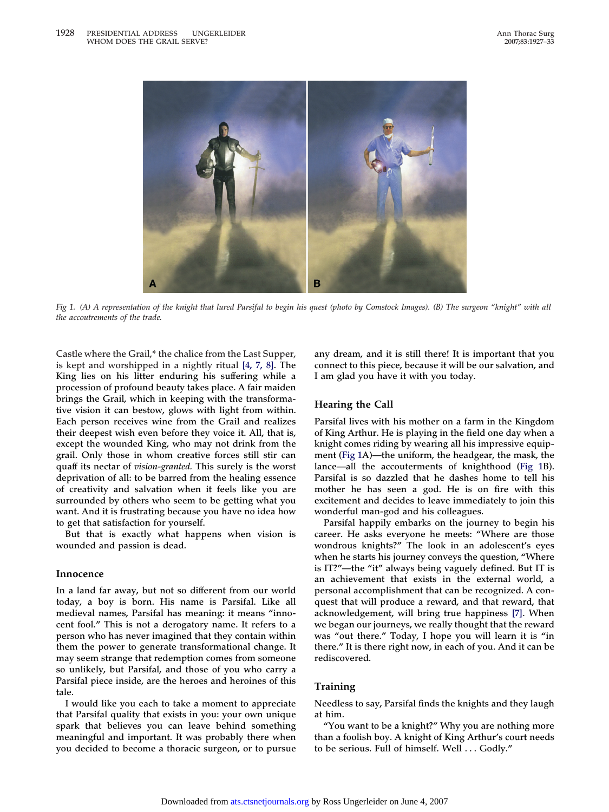

*Fig 1. (A) A representation of the knight that lured Parsifal to begin his quest (photo by Comstock Images). (B) The surgeon "knight" with all the accoutrements of the trade.*

**Castle where the Grail,\* the chalice from the Last Supper, is kept and worshipped in a nightly ritual [\[4, 7, 8\].](#page-7-0) The King lies on his litter enduring his suffering while a procession of profound beauty takes place. A fair maiden brings the Grail, which in keeping with the transformative vision it can bestow, glows with light from within. Each person receives wine from the Grail and realizes their deepest wish even before they voice it. All, that is, except the wounded King, who may not drink from the grail. Only those in whom creative forces still stir can quaff its nectar of** *vision-granted.* **This surely is the worst deprivation of all: to be barred from the healing essence of creativity and salvation when it feels like you are surrounded by others who seem to be getting what you want. And it is frustrating because you have no idea how to get that satisfaction for yourself.**

**But that is exactly what happens when vision is wounded and passion is dead.**

#### **Innocence**

**In a land far away, but not so different from our world today, a boy is born. His name is Parsifal. Like all medieval names, Parsifal has meaning: it means "innocent fool." This is not a derogatory name. It refers to a person who has never imagined that they contain within them the power to generate transformational change. It may seem strange that redemption comes from someone so unlikely, but Parsifal, and those of you who carry a Parsifal piece inside, are the heroes and heroines of this tale.**

**I would like you each to take a moment to appreciate that Parsifal quality that exists in you: your own unique spark that believes you can leave behind something meaningful and important. It was probably there when you decided to become a thoracic surgeon, or to pursue**

**any dream, and it is still there! It is important that you connect to this piece, because it will be our salvation, and I am glad you have it with you today.**

#### **Hearing the Call**

**Parsifal lives with his mother on a farm in the Kingdom of King Arthur. He is playing in the field one day when a knight comes riding by wearing all his impressive equipment (Fig 1A)—the uniform, the headgear, the mask, the lance—all the accouterments of knighthood (Fig 1B). Parsifal is so dazzled that he dashes home to tell his mother he has seen a god. He is on fire with this excitement and decides to leave immediately to join this wonderful man-god and his colleagues.**

**Parsifal happily embarks on the journey to begin his career. He asks everyone he meets: "Where are those wondrous knights?" The look in an adolescent's eyes when he starts his journey conveys the question, "Where is IT?"—the "it" always being vaguely defined. But IT is an achievement that exists in the external world, a personal accomplishment that can be recognized. A conquest that will produce a reward, and that reward, that acknowledgement, will bring true happiness [\[7\].](#page-7-0) When we began our journeys, we really thought that the reward was "out there." Today, I hope you will learn it is "in there." It is there right now, in each of you. And it can be rediscovered.**

## **Training**

**Needless to say, Parsifal finds the knights and they laugh at him.**

**"You want to be a knight?" Why you are nothing more than a foolish boy. A knight of King Arthur's court needs to be serious. Full of himself. Well . . . Godly."**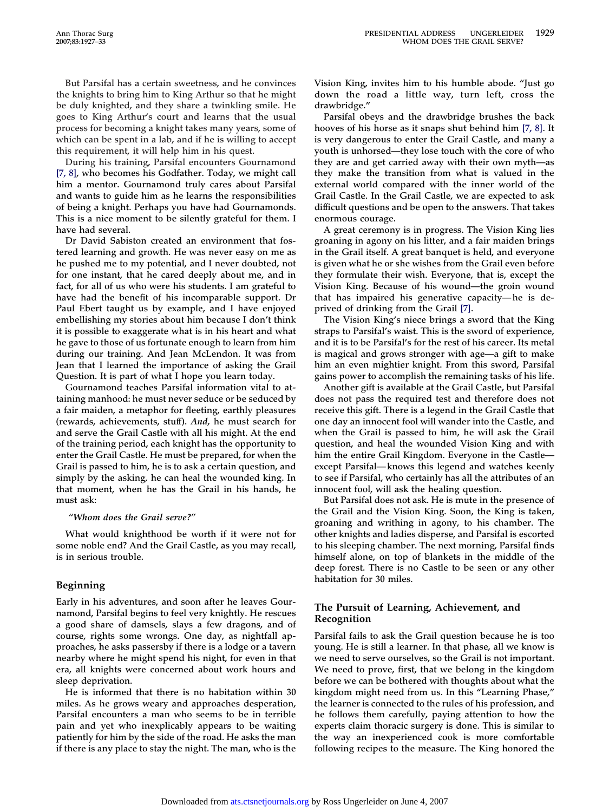**But Parsifal has a certain sweetness, and he convinces the knights to bring him to King Arthur so that he might be duly knighted, and they share a twinkling smile. He goes to King Arthur's court and learns that the usual process for becoming a knight takes many years, some of which can be spent in a lab, and if he is willing to accept this requirement, it will help him in his quest.**

**During his training, Parsifal encounters Gournamond [\[7, 8\],](#page-7-0) who becomes his Godfather. Today, we might call him a mentor. Gournamond truly cares about Parsifal and wants to guide him as he learns the responsibilities of being a knight. Perhaps you have had Gournamonds. This is a nice moment to be silently grateful for them. I have had several.**

**Dr David Sabiston created an environment that fostered learning and growth. He was never easy on me as he pushed me to my potential, and I never doubted, not for one instant, that he cared deeply about me, and in fact, for all of us who were his students. I am grateful to have had the benefit of his incomparable support. Dr Paul Ebert taught us by example, and I have enjoyed embellishing my stories about him because I don't think it is possible to exaggerate what is in his heart and what he gave to those of us fortunate enough to learn from him during our training. And Jean McLendon. It was from Jean that I learned the importance of asking the Grail Question. It is part of what I hope you learn today.**

**Gournamond teaches Parsifal information vital to attaining manhood: he must never seduce or be seduced by a fair maiden, a metaphor for fleeting, earthly pleasures (rewards, achievements, stuff).** *And,* **he must search for and serve the Grail Castle with all his might. At the end of the training period, each knight has the opportunity to enter the Grail Castle. He must be prepared, for when the Grail is passed to him, he is to ask a certain question, and simply by the asking, he can heal the wounded king. In that moment, when he has the Grail in his hands, he must ask:**

#### *"Whom does the Grail serve?"*

**What would knighthood be worth if it were not for some noble end? And the Grail Castle, as you may recall, is in serious trouble.**

## **Beginning**

**Early in his adventures, and soon after he leaves Gournamond, Parsifal begins to feel very knightly. He rescues a good share of damsels, slays a few dragons, and of course, rights some wrongs. One day, as nightfall approaches, he asks passersby if there is a lodge or a tavern nearby where he might spend his night, for even in that era, all knights were concerned about work hours and sleep deprivation.**

**He is informed that there is no habitation within 30 miles. As he grows weary and approaches desperation, Parsifal encounters a man who seems to be in terrible pain and yet who inexplicably appears to be waiting patiently for him by the side of the road. He asks the man if there is any place to stay the night. The man, who is the** **Vision King, invites him to his humble abode. "Just go down the road a little way, turn left, cross the drawbridge."**

**Parsifal obeys and the drawbridge brushes the back hooves of his horse as it snaps shut behind him [\[7, 8\].](#page-7-0) It is very dangerous to enter the Grail Castle, and many a youth is unhorsed—they lose touch with the core of who they are and get carried away with their own myth—as they make the transition from what is valued in the external world compared with the inner world of the Grail Castle. In the Grail Castle, we are expected to ask difficult questions and be open to the answers. That takes enormous courage.**

**A great ceremony is in progress. The Vision King lies groaning in agony on his litter, and a fair maiden brings in the Grail itself. A great banquet is held, and everyone is given what he or she wishes from the Grail even before they formulate their wish. Everyone, that is, except the Vision King. Because of his wound—the groin wound that has impaired his generative capacity—he is deprived of drinking from the Grail [\[7\].](#page-7-0)**

**The Vision King's niece brings a sword that the King straps to Parsifal's waist. This is the sword of experience, and it is to be Parsifal's for the rest of his career. Its metal is magical and grows stronger with age—a gift to make him an even mightier knight. From this sword, Parsifal gains power to accomplish the remaining tasks of his life.**

**Another gift is available at the Grail Castle, but Parsifal does not pass the required test and therefore does not receive this gift. There is a legend in the Grail Castle that one day an innocent fool will wander into the Castle, and when the Grail is passed to him, he will ask the Grail question, and heal the wounded Vision King and with him the entire Grail Kingdom. Everyone in the Castle except Parsifal—knows this legend and watches keenly to see if Parsifal, who certainly has all the attributes of an innocent fool, will ask the healing question.**

**But Parsifal does not ask. He is mute in the presence of the Grail and the Vision King. Soon, the King is taken, groaning and writhing in agony, to his chamber. The other knights and ladies disperse, and Parsifal is escorted to his sleeping chamber. The next morning, Parsifal finds himself alone, on top of blankets in the middle of the deep forest. There is no Castle to be seen or any other habitation for 30 miles.**

## **The Pursuit of Learning, Achievement, and Recognition**

**Parsifal fails to ask the Grail question because he is too young. He is still a learner. In that phase, all we know is we need to serve ourselves, so the Grail is not important. We need to prove, first, that we belong in the kingdom before we can be bothered with thoughts about what the kingdom might need from us. In this "Learning Phase," the learner is connected to the rules of his profession, and he follows them carefully, paying attention to how the experts claim thoracic surgery is done. This is similar to the way an inexperienced cook is more comfortable following recipes to the measure. The King honored the**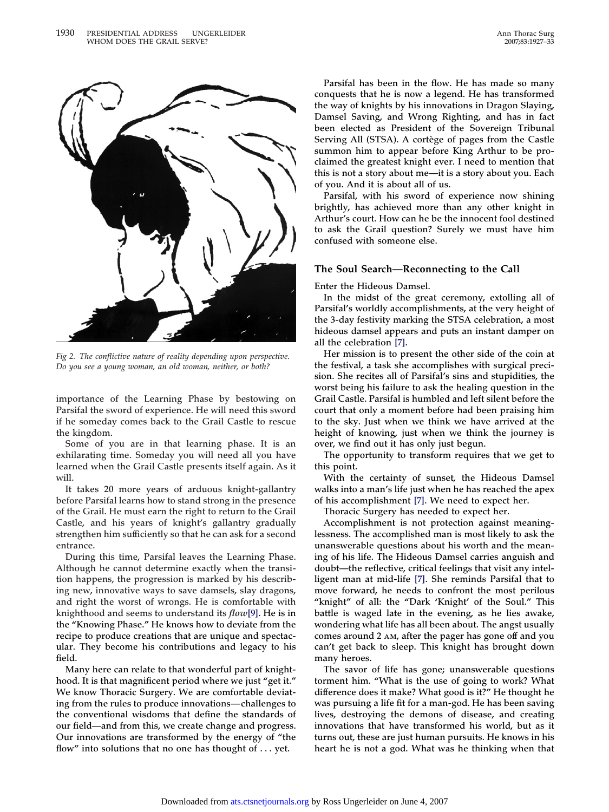<span id="page-4-0"></span>

*Fig 2. The conflictive nature of reality depending upon perspective. Do you see a young woman, an old woman, neither, or both?*

**importance of the Learning Phase by bestowing on Parsifal the sword of experience. He will need this sword if he someday comes back to the Grail Castle to rescue the kingdom.**

**Some of you are in that learning phase. It is an exhilarating time. Someday you will need all you have learned when the Grail Castle presents itself again. As it will.**

**It takes 20 more years of arduous knight-gallantry before Parsifal learns how to stand strong in the presence of the Grail. He must earn the right to return to the Grail Castle, and his years of knight's gallantry gradually strengthen him sufficiently so that he can ask for a second entrance.**

**During this time, Parsifal leaves the Learning Phase. Although he cannot determine exactly when the transition happens, the progression is marked by his describing new, innovative ways to save damsels, slay dragons, and right the worst of wrongs. He is comfortable with knighthood and seems to understand its** *flow***[\[9\].](#page-7-0) He is in the "Knowing Phase." He knows how to deviate from the recipe to produce creations that are unique and spectacular. They become his contributions and legacy to his field.**

**Many here can relate to that wonderful part of knighthood. It is that magnificent period where we just "get it." We know Thoracic Surgery. We are comfortable deviating from the rules to produce innovations—challenges to the conventional wisdoms that define the standards of our field—and from this, we create change and progress. Our innovations are transformed by the energy of "the flow" into solutions that no one has thought of . . . yet.**

**Parsifal has been in the flow. He has made so many conquests that he is now a legend. He has transformed the way of knights by his innovations in Dragon Slaying, Damsel Saving, and Wrong Righting, and has in fact been elected as President of the Sovereign Tribunal Serving All (STSA). A cortège of pages from the Castle summon him to appear before King Arthur to be proclaimed the greatest knight ever. I need to mention that this is not a story about me—it is a story about you. Each of you. And it is about all of us.**

**Parsifal, with his sword of experience now shining brightly, has achieved more than any other knight in Arthur's court. How can he be the innocent fool destined to ask the Grail question? Surely we must have him confused with someone else.**

## **The Soul Search—Reconnecting to the Call**

**Enter the Hideous Damsel.**

**In the midst of the great ceremony, extolling all of Parsifal's worldly accomplishments, at the very height of the 3-day festivity marking the STSA celebration, a most hideous damsel appears and puts an instant damper on all the celebration [\[7\].](#page-7-0)**

**Her mission is to present the other side of the coin at the festival, a task she accomplishes with surgical precision. She recites all of Parsifal's sins and stupidities, the worst being his failure to ask the healing question in the Grail Castle. Parsifal is humbled and left silent before the court that only a moment before had been praising him to the sky. Just when we think we have arrived at the height of knowing, just when we think the journey is over, we find out it has only just begun.**

**The opportunity to transform requires that we get to this point.**

**With the certainty of sunset, the Hideous Damsel walks into a man's life just when he has reached the apex of his accomplishment [\[7\].](#page-7-0) We need to expect her.**

**Thoracic Surgery has needed to expect her.**

**Accomplishment is not protection against meaninglessness. The accomplished man is most likely to ask the unanswerable questions about his worth and the meaning of his life. The Hideous Damsel carries anguish and doubt—the reflective, critical feelings that visit any intelligent man at mid-life [\[7\].](#page-7-0) She reminds Parsifal that to move forward, he needs to confront the most perilous "knight" of all: the "Dark 'Knight' of the Soul." This battle is waged late in the evening, as he lies awake, wondering what life has all been about. The angst usually comes around 2** am**, after the pager has gone off and you can't get back to sleep. This knight has brought down many heroes.**

**The savor of life has gone; unanswerable questions torment him. "What is the use of going to work? What difference does it make? What good is it?" He thought he was pursuing a life fit for a man-god. He has been saving lives, destroying the demons of disease, and creating innovations that have transformed his world, but as it turns out, these are just human pursuits. He knows in his heart he is not a god. What was he thinking when that**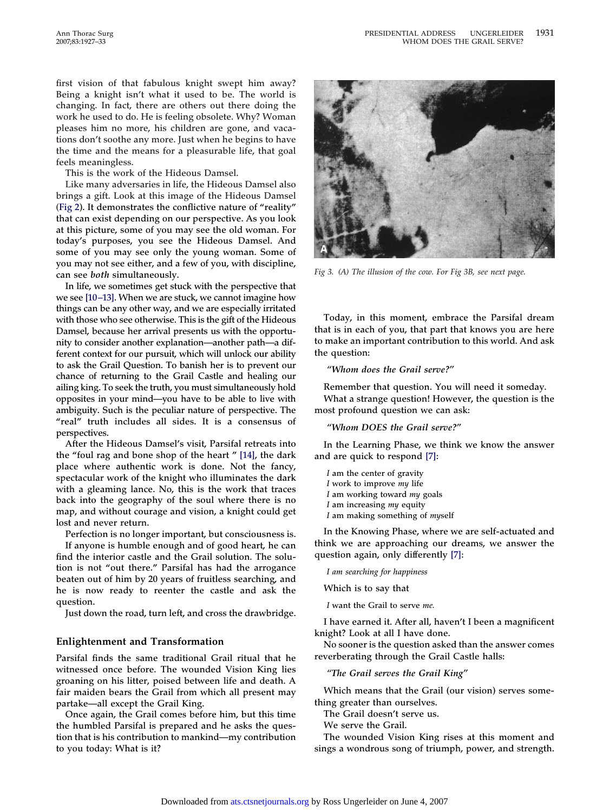<span id="page-5-0"></span>**first vision of that fabulous knight swept him away? Being a knight isn't what it used to be. The world is changing. In fact, there are others out there doing the work he used to do. He is feeling obsolete. Why? Woman pleases him no more, his children are gone, and vacations don't soothe any more. Just when he begins to have the time and the means for a pleasurable life, that goal feels meaningless.**

**This is the work of the Hideous Damsel.**

**Like many adversaries in life, the Hideous Damsel also brings a gift. Look at this image of the Hideous Damsel [\(Fig 2\)](#page-4-0). It demonstrates the conflictive nature of "reality" that can exist depending on our perspective. As you look at this picture, some of you may see the old woman. For today's purposes, you see the Hideous Damsel. And some of you may see only the young woman. Some of you may not see either, and a few of you, with discipline, can see** *both* **simultaneously.**

**In life, we sometimes get stuck with the perspective that we see [\[10–13\].](#page-7-0) When we are stuck, we cannot imagine how things can be any other way, and we are especially irritated with those who see otherwise. This is the gift of the Hideous Damsel, because her arrival presents us with the opportunity to consider another explanation—another path—a different context for our pursuit, which will unlock our ability to ask the Grail Question. To banish her is to prevent our chance of returning to the Grail Castle and healing our ailing king. To seek the truth, you must simultaneously hold opposites in your mind—you have to be able to live with ambiguity. Such is the peculiar nature of perspective. The "real" truth includes all sides. It is a consensus of perspectives.**

**After the Hideous Damsel's visit, Parsifal retreats into the "foul rag and bone shop of the heart " [\[14\],](#page-7-0) the dark place where authentic work is done. Not the fancy, spectacular work of the knight who illuminates the dark with a gleaming lance. No, this is the work that traces back into the geography of the soul where there is no map, and without courage and vision, a knight could get lost and never return.**

**Perfection is no longer important, but consciousness is.**

**If anyone is humble enough and of good heart, he can find the interior castle and the Grail solution. The solution is not "out there." Parsifal has had the arrogance beaten out of him by 20 years of fruitless searching, and he is now ready to reenter the castle and ask the question.**

**Just down the road, turn left, and cross the drawbridge.**

## **Enlightenment and Transformation**

**Parsifal finds the same traditional Grail ritual that he witnessed once before. The wounded Vision King lies groaning on his litter, poised between life and death. A fair maiden bears the Grail from which all present may partake—all except the Grail King.**

**Once again, the Grail comes before him, but this time the humbled Parsifal is prepared and he asks the question that is his contribution to mankind—my contribution to you today: What is it?**



*Fig 3. (A) The illusion of the cow. For Fig 3B, see next page.*

**Today, in this moment, embrace the Parsifal dream that is in each of you, that part that knows you are here to make an important contribution to this world. And ask the question:**

## *"Whom does the Grail serve?"*

**Remember that question. You will need it someday. What a strange question! However, the question is the most profound question we can ask:**

#### *"Whom DOES the Grail serve?"*

**In the Learning Phase, we think we know the answer and are quick to respond [\[7\]:](#page-7-0)**

- *I* **am the center of gravity** *I* **work to improve** *my* **life** *I* **am working toward** *my* **goals** *I* **am increasing** *my* **equity**
- *I* **am making something of** *my***self**

**In the Knowing Phase, where we are self-actuated and think we are approaching our dreams, we answer the question again, only differently [\[7\]:](#page-7-0)**

*I am searching for happiness*

**Which is to say that**

*I* **want the Grail to serve** *me.*

**I have earned it. After all, haven't I been a magnificent knight? Look at all I have done.**

**No sooner is the question asked than the answer comes reverberating through the Grail Castle halls:**

*"The Grail serves the Grail King"*

**Which means that the Grail (our vision) serves something greater than ourselves.**

**The Grail doesn't serve us.**

**We serve the Grail.**

**The wounded Vision King rises at this moment and sings a wondrous song of triumph, power, and strength.**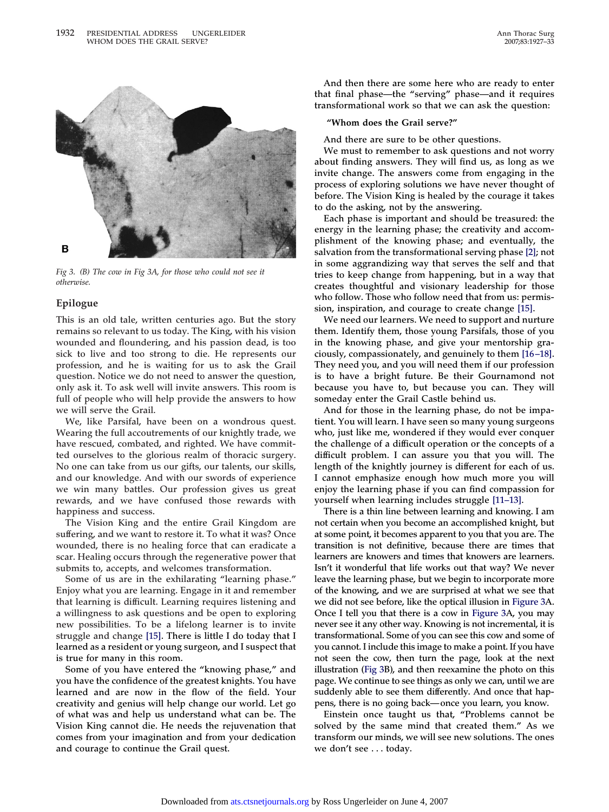

*Fig 3. (B) The cow in Fig 3A, for those who could not see it otherwise.*

## **Epilogue**

**This is an old tale, written centuries ago. But the story remains so relevant to us today. The King, with his vision wounded and floundering, and his passion dead, is too sick to live and too strong to die. He represents our profession, and he is waiting for us to ask the Grail question. Notice we do not need to answer the question, only ask it. To ask well will invite answers. This room is full of people who will help provide the answers to how we will serve the Grail.**

**We, like Parsifal, have been on a wondrous quest. Wearing the full accoutrements of our knightly trade, we have rescued, combated, and righted. We have committed ourselves to the glorious realm of thoracic surgery. No one can take from us our gifts, our talents, our skills, and our knowledge. And with our swords of experience we win many battles. Our profession gives us great rewards, and we have confused those rewards with happiness and success.**

**The Vision King and the entire Grail Kingdom are suffering, and we want to restore it. To what it was? Once wounded, there is no healing force that can eradicate a scar. Healing occurs through the regenerative power that submits to, accepts, and welcomes transformation.**

**Some of us are in the exhilarating "learning phase." Enjoy what you are learning. Engage in it and remember that learning is difficult. Learning requires listening and a willingness to ask questions and be open to exploring new possibilities. To be a lifelong learner is to invite struggle and change [\[15\].](#page-7-0) There is little I do today that I learned as a resident or young surgeon, and I suspect that is true for many in this room.**

**Some of you have entered the "knowing phase," and you have the confidence of the greatest knights. You have learned and are now in the flow of the field. Your creativity and genius will help change our world. Let go of what was and help us understand what can be. The Vision King cannot die. He needs the rejuvenation that comes from your imagination and from your dedication and courage to continue the Grail quest.**

**And then there are some here who are ready to enter that final phase—the "serving" phase—and it requires transformational work so that we can ask the question:**

#### **"Whom does the Grail serve?"**

**And there are sure to be other questions.**

**We must to remember to ask questions and not worry about finding answers. They will find us, as long as we invite change. The answers come from engaging in the process of exploring solutions we have never thought of before. The Vision King is healed by the courage it takes to do the asking, not by the answering.**

**Each phase is important and should be treasured: the energy in the learning phase; the creativity and accomplishment of the knowing phase; and eventually, the salvation from the transformational serving phase [\[2\];](#page-7-0) not in some aggrandizing way that serves the self and that tries to keep change from happening, but in a way that creates thoughtful and visionary leadership for those who follow. Those who follow need that from us: permission, inspiration, and courage to create change [\[15\].](#page-7-0)**

**We need our learners. We need to support and nurture them. Identify them, those young Parsifals, those of you in the knowing phase, and give your mentorship graciously, compassionately, and genuinely to them [\[16–18\].](#page-7-0) They need you, and you will need them if our profession is to have a bright future. Be their Gournamond not because you have to, but because you can. They will someday enter the Grail Castle behind us.**

**And for those in the learning phase, do not be impatient. You will learn. I have seen so many young surgeons who, just like me, wondered if they would ever conquer the challenge of a difficult operation or the concepts of a difficult problem. I can assure you that you will. The length of the knightly journey is different for each of us. I cannot emphasize enough how much more you will enjoy the learning phase if you can find compassion for yourself when learning includes struggle [\[11–13\].](#page-7-0)**

**There is a thin line between learning and knowing. I am not certain when you become an accomplished knight, but at some point, it becomes apparent to you that you are. The transition is not definitive, because there are times that learners are knowers and times that knowers are learners. Isn't it wonderful that life works out that way? We never leave the learning phase, but we begin to incorporate more of the knowing, and we are surprised at what we see that we did not see before, like the optical illusion in [Figure 3A](#page-5-0). Once I tell you that there is a cow in [Figure 3A](#page-5-0), you may never see it any other way. Knowing is not incremental, it is transformational. Some of you can see this cow and some of you cannot. I include this image to make a point. If you have not seen the cow, then turn the page, look at the next illustration [\(Fig 3B](#page-5-0)), and then reexamine the photo on this page. We continue to see things as only we can, until we are suddenly able to see them differently. And once that happens, there is no going back—once you learn, you know.**

**Einstein once taught us that, "Problems cannot be solved by the same mind that created them." As we transform our minds, we will see new solutions. The ones we don't see . . . today.**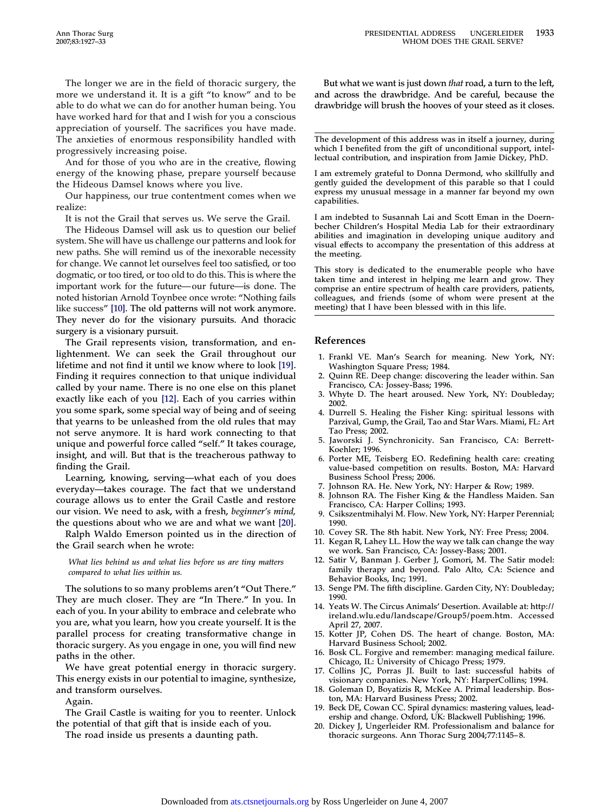<span id="page-7-0"></span>**The longer we are in the field of thoracic surgery, the more we understand it. It is a gift "to know" and to be able to do what we can do for another human being. You have worked hard for that and I wish for you a conscious appreciation of yourself. The sacrifices you have made. The anxieties of enormous responsibility handled with progressively increasing poise.**

**And for those of you who are in the creative, flowing energy of the knowing phase, prepare yourself because the Hideous Damsel knows where you live.**

**Our happiness, our true contentment comes when we realize:**

**It is not the Grail that serves us. We serve the Grail.**

**The Hideous Damsel will ask us to question our belief system. She will have us challenge our patterns and look for new paths. She will remind us of the inexorable necessity for change. We cannot let ourselves feel too satisfied, or too dogmatic, or too tired, or too old to do this. This is where the important work for the future—our future—is done. The noted historian Arnold Toynbee once wrote: "Nothing fails like success" [10]. The old patterns will not work anymore. They never do for the visionary pursuits. And thoracic surgery is a visionary pursuit.**

**The Grail represents vision, transformation, and enlightenment. We can seek the Grail throughout our lifetime and not find it until we know where to look [19]. Finding it requires connection to that unique individual called by your name. There is no one else on this planet exactly like each of you [12]. Each of you carries within you some spark, some special way of being and of seeing that yearns to be unleashed from the old rules that may not serve anymore. It is hard work connecting to that unique and powerful force called "self." It takes courage, insight, and will. But that is the treacherous pathway to finding the Grail.**

**Learning, knowing, serving—what each of you does everyday—takes courage. The fact that we understand courage allows us to enter the Grail Castle and restore our vision. We need to ask, with a fresh,** *beginner's mind,* **the questions about who we are and what we want [20].**

**Ralph Waldo Emerson pointed us in the direction of the Grail search when he wrote:**

#### *What lies behind us and what lies before us are tiny matters compared to what lies within us.*

**The solutions to so many problems aren't "Out There." They are much closer. They are "In There." In you. In each of you. In your ability to embrace and celebrate who you are, what you learn, how you create yourself. It is the parallel process for creating transformative change in thoracic surgery. As you engage in one, you will find new paths in the other.**

**We have great potential energy in thoracic surgery. This energy exists in our potential to imagine, synthesize, and transform ourselves.**

**Again.**

**The Grail Castle is waiting for you to reenter. Unlock the potential of that gift that is inside each of you.**

**The road inside us presents a daunting path.**

**But what we want is just down** *that* **road, a turn to the left, and across the drawbridge. And be careful, because the drawbridge will brush the hooves of your steed as it closes.**

**The development of this address was in itself a journey, during which I benefited from the gift of unconditional support, intellectual contribution, and inspiration from Jamie Dickey, PhD.**

**I am extremely grateful to Donna Dermond, who skillfully and gently guided the development of this parable so that I could express my unusual message in a manner far beyond my own capabilities.**

**I am indebted to Susannah Lai and Scott Eman in the Doernbecher Children's Hospital Media Lab for their extraordinary abilities and imagination in developing unique auditory and visual effects to accompany the presentation of this address at the meeting.**

**This story is dedicated to the enumerable people who have taken time and interest in helping me learn and grow. They comprise an entire spectrum of health care providers, patients, colleagues, and friends (some of whom were present at the meeting) that I have been blessed with in this life.**

#### **References**

- **1. Frankl VE. Man's Search for meaning. New York, NY: Washington Square Press; 1984.**
- **2. Quinn RE. Deep change: discovering the leader within. San Francisco, CA: Jossey-Bass; 1996.**
- **3. Whyte D. The heart aroused. New York, NY: Doubleday; 2002.**
- **4. Durrell S. Healing the Fisher King: spiritual lessons with Parzival, Gump, the Grail, Tao and Star Wars. Miami, FL: Art Tao Press; 2002.**
- **5. Jaworski J. Synchronicity. San Francisco, CA: Berrett-Koehler; 1996.**
- **6. Porter ME, Teisberg EO. Redefining health care: creating value-based competition on results. Boston, MA: Harvard Business School Press; 2006.**
- **7. Johnson RA. He. New York, NY: Harper & Row; 1989.**
- **8. Johnson RA. The Fisher King & the Handless Maiden. San Francisco, CA: Harper Collins; 1993.**
- **9. Csikszentmihalyi M. Flow. New York, NY: Harper Perennial; 1990.**
- **10. Covey SR. The 8th habit. New York, NY: Free Press; 2004.**
- **11. Kegan R, Lahey LL. How the way we talk can change the way we work. San Francisco, CA: Jossey-Bass; 2001.**
- **12. Satir V, Banman J. Gerber J, Gomori, M. The Satir model: family therapy and beyond. Palo Alto, CA: Science and Behavior Books, Inc; 1991.**
- **13. Senge PM. The fifth discipline. Garden City, NY: Doubleday; 1990.**
- **14. Yeats W. The Circus Animals' Desertion. Available at: http:// ireland.wlu.edu/landscape/Group5/poem.htm. Accessed April 27, 2007.**
- **15. Kotter JP, Cohen DS. The heart of change. Boston, MA: Harvard Business School; 2002.**
- **16. Bosk CL. Forgive and remember: managing medical failure. Chicago, IL: University of Chicago Press; 1979.**
- **17. Collins JC, Porras JI. Built to last: successful habits of visionary companies. New York, NY: HarperCollins; 1994.**
- **18. Goleman D, Boyatizis R, McKee A. Primal leadership. Boston, MA: Harvard Business Press; 2002.**
- **19. Beck DE, Cowan CC. Spiral dynamics: mastering values, leadership and change. Oxford, UK: Blackwell Publishing; 1996.**
- **20. Dickey J, Ungerleider RM. Professionalism and balance for thoracic surgeons. Ann Thorac Surg 2004;77:1145–8.**